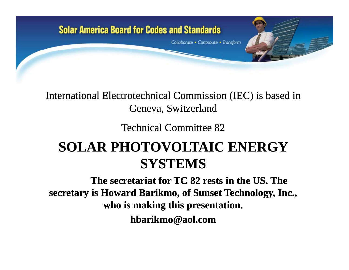

### International Electrotechnical Commission (IEC) is based in Geneva, Switzerland

Technical Committee 82

## **SOLAR PHOTOVOLTAIC ENERGY SYSTEMS**

**The secretariat for TC 82 rests in the US. The secretary is Howard Barikmo, of Sunset Technology, Inc., who is making this presentation. hbarikmo@aol com hbarikmo@aol.com**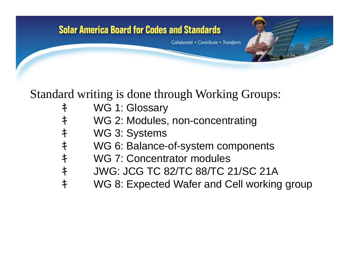# **Solar America Board for Codes and Standards** Collaborate • Contribute • Transform

Standard writing is done through Working Groups:

- キ WG 1: Glossary
- キ WG 2: Modules, non-concentrating
- キ WG 3: Systems
- キ WG 6: Balance-of-system components
- キ WG 7: Concentrator modules
- キ JWG: JCG TC 82/TC 88/TC 21/SC 21A
- キ WG 8: Expected Wafer and Cell working group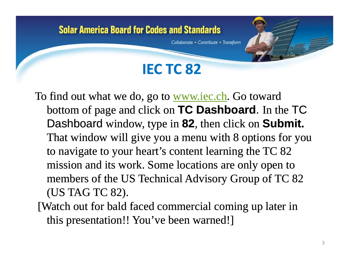Collaborate • Contribute • Transform

## **IEC TC 82**

To find out what we do, go to <u>www.iec.ch</u>. Go toward bottom of page and click on **TC Dashboard**. In the TC Dashboard window, type in **82**, then click on **Submit.** That window will give you a menu with 8 options for you to navigate to your heart's content learning the TC 82 mission and its work. Some locations are only open to members of the US Technical Advisory Group of TC 82 (US TAG TC 82).

[Watch out for bald faced commercial coming up later in this presentation!! You've been warned!]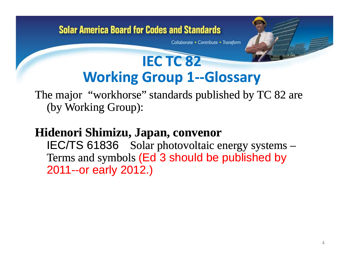Collaborate • Contribute • Transform

## **IEC TC 82 Working Group 1‐‐Glossary**

The major "workhorse" standards published by TC 82 are (by Working Group):

## **Hidenori Shimizu, Japan, convenor**

IEC/TS 61836 Solar photovoltaic energy systems – Terms and symbols (Ed 3 should be published by 2011--or early 2012.)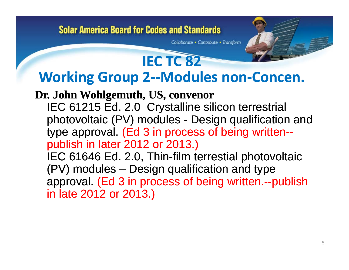Collaborate • Contribute • Transform

## **IEC TC 82 Workin g Grou p 2‐‐Modules non ‐Concen.**

**Dr. John Wohlgemuth, US, convenor** IEC 61215 Ed. 2.0 Crystalline silicon terrestrial photovoltaic (PV) modules - Design qualification and type approval. (Ed 3 in process of being written- publish in later 2012 or 2013.)

IEC 61646 Ed. 2.0, Thin-film terrestial photovoltaic (PV) modules – Design qualification and type approval. (Ed 3 in process of being written.--publish<br>in late 2012 or 2013.)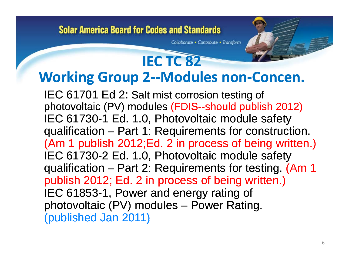Collaborate • Contribute • Transform

## **IEC TC 82 Workin g Grou p 2‐‐Modules non ‐Concen.**

IEC 61701 Ed 2: Salt mist corrosion testing of photovoltaic (PV) modules (FDIS--should publish 2012) IEC 61730-1 Ed. 1.0, Photovoltaic module safety qualification – Part 1: Requirements for construction. (Am 1 publish 2012;Ed. 2 in process of being written.) IEC 61730-2 Ed. 1.0, Photovoltaic module safety qualification – Part 2: Requirements for testing. (Am 1 publish 2012; Ed. 2 in process of being written.)<br>IEC 61853-1, Power and energy rating of photovoltaic (PV) modules – Power Rating. (published Jan 2011)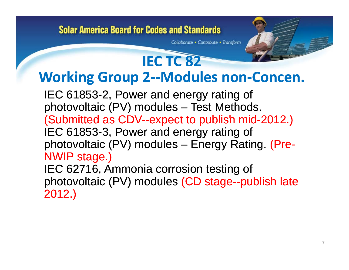Collaborate • Contribute • Transform

## **IEC TC 82 Workin g Grou p 2‐‐Modules non ‐Concen.**

IEC 61853-2, Power and energy rating of photovoltaic (PV) modules – Test Methods. (Submitted as CDV--expect to publish mid-2012.) IEC 61853-3, Power and energy rating of photovoltaic (PV) modules – Energy Rating. (Pre- (Pre-NWIP stage.) IEC 62716, Ammonia corrosion testing of photovoltaic (PV) modules (CD stage--publish late<br>2012.)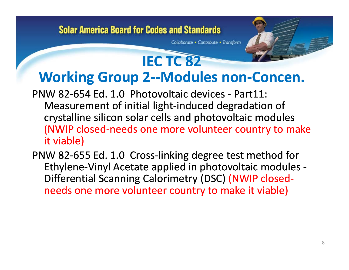Collaborate • Contribute • Transform

- PNW 82‐654 Ed. 1.0 Photovoltaic devices ‐ Part11: Measurement of initial light‐induced degradation of crystalline silicon solar cells and photovoltaic modules (NWIP closed‐needs one more volunteer country to make it viable)
- PNW 82-655 Ed. 1.0 Cross-linking degree test method for Ethylene‐Vinyl Acetate applied in photovoltaic modules ‐ Differential Scanning Calorimetry (DSC) (NWIP closed‐ W 82-655 Ed. 1.0 Cross-linking degree test method<br>Ethylene-Vinyl Acetate applied in photovoltaic mod<br>Differential Scanning Calorimetry (DSC) (NWIP close<br>needs one more volunteer country to make it viable s one more volunteer country to make it viable)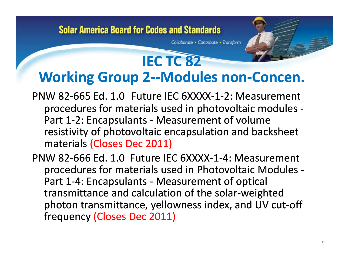Collaborate • Contribute • Transform

- PNW 82‐665 Ed. 1.0 Future IEC 6XXXX‐1‐2: Measurement procedures for materials used in photovoltaic modules ‐ Part 1-2: Encapsulants - Measurement of volume resistivity of photovoltaic encapsulation and backsheet materials (Closes Dec 2011) Part 1-2: Encapsulants - Measurement<br>resistivity of photovoltaic encapsulatic<br>materials (Closes Dec 2011)<br>PNW 82-666 Ed. 1.0 Future IEC 6XXXX-1-
- PNW 82-666 Ed. 1.0 Future IEC 6XXXX-1-4: Measurement procedures for materials used in Photovoltaic Modules ‐ Part 1-4: Encapsulants - Measurement of optical transmittance and calculation of the solar‐weighted photon transmittance, yellowness index, and UV cut‐off frequency (Closes Dec 2011)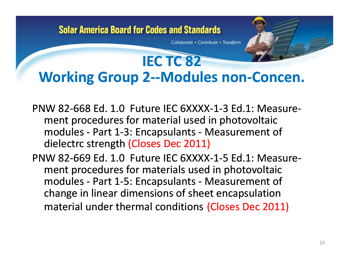Collaborate • Contribute • Transform

- PNW 82‐668 Ed. 1.0 Future IEC 6XXXX‐1‐3 Ed.1: Measure‐ ment procedures for material used in photovoltaic modules ‐ Part 1‐3: Encapsulants ‐ Measurement of dielectrc strength (Closes Dec 2011) ment procedures for material used in photovoltaic<br>modules - Part 1-3: Encapsulants - Measurement c<br>dielectrc strength (Closes Dec 2011)<br>PNW 82-669 Ed. 1.0 Future IEC 6XXXX-1-5 Ed.1: Mea
- 82‐669 Ed. 1.0 Future IEC 6XXXX‐1‐5 Ed.1: Measure‐ ment procedures for materials used in photovoltaic modules - Part 1-5: Encapsulants - Measurement of change in linear dimensions of sheet encapsulation material under thermal conditions (Closes Dec 2011)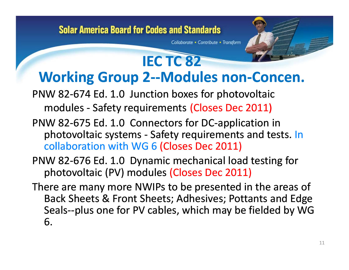Collaborate • Contribute • Transform

- PNW 82‐674 Ed. 1.0 Junction boxes for photovoltaic modules ‐ Safety requirements (Closes Dec 2011)
- PNW 82‐675 Ed. 1.0 Connectors for DC‐application in photovoltaic systems - Safety requirements and tests. In<br>
collaboration with WG 6 (Closes Dec 2011)<br>
PNW 82-676 Ed. 1.0 Dynamic mechanical load testing for collaboration with WG 6 (Closes Dec 2011)
- 82‐676 Ed. 1.0 Dynamic mechanical load testing for photovoltaic (PV) modules (Closes Dec 2011)
- There are many more NWIPs to be presented in the areas of Back Sheets & Front Sheets; Adhesives; Pottants and Edge Seals--plus one for PV cables, which may be fielded by WG 6 6.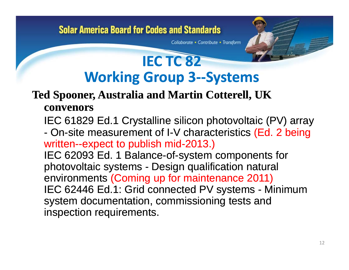Collaborate • Contribute • Transform

## **IEC TC 82 Workin g Grou p 3‐‐ S ystems**

## **Ted Spooner, Australia and Martin Cotterell, UK**

#### **convenors**

IEC 61829 Ed.1 Crystalline silicon photovoltaic (PV) array - On-site measurement of I-V characteristics (Ed. 2 being written--expect to publish mid-2013.)

IEC 62093 Ed. 1 Balance-of-system components for photovoltaic systems - Design qualification natural environments (Coming up for maintenance 2011) IEC 62446 Ed.1: Grid connected PV systems - Minimum system documentation, commissioning tests and inspection requirements.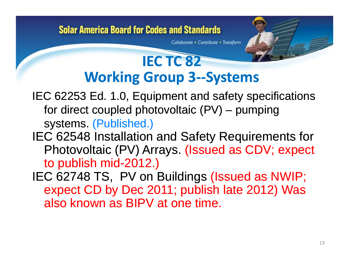Collaborate • Contribute • Transform

## **IEC TC 82 Workin g Grou p 3‐‐ S ystems**

- IEC 62253 Ed. 1.0, Equipment and safety specifications for direct coupled photovoltaic (PV) – pumping systems. (Published.)
- IEC 62548 Installation and Safety Requirements for Photovoltaic (PV) Arrays. (Issued as CDV; expect to publish mid-2012.)
- IEC 62748 TS, PV on Buildings (Issued as NWIP; expect CD by Dec 2011; publish late 2012) Was also known as BIPV at one time.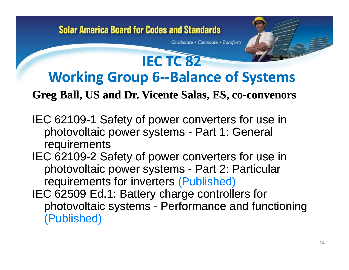Collaborate • Contribute • Transform

## **Working Group 6‐‐Balance of Systems**

**IEC TC 82**

### **Greg Ball, US and Dr. Vicente Salas, ES, co-convenors**

- IEC 62109-1 Safety of power converters for use in photovoltaic power systems - Part 1: General requirements
- IEC 62109-2 Safety of power converters for use in photovoltaic power systems - Part 2: Particular requirements for inverters (Published)
- IEC 62509 Ed.1: Battery charge controllers for photovoltaic systems - Performance and functioning (Published)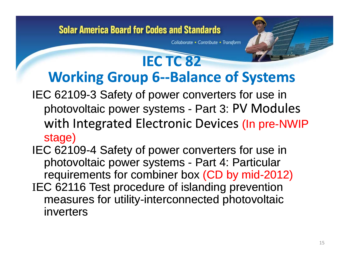Collaborate • Contribute • Transform

## **IEC TC 82 Workin g Grou p 6‐‐Balance of S ystems**

- IEC 62109-3 Safety of power converters for use in photovoltaic power systems - Part 3: PV Modules with Integrated Electronic Devices (In pre-NWIP stage)
- IEC 62109 4 Safety of power converters for use in photovoltaic power systems - Part 4: Particular requirements for combiner box (CD by mid-2012) <sup>I</sup>EC 62116 Test procedure of islanding prevention measures for utility-interconnected photovoltaic inverters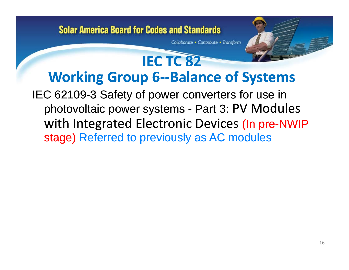Collaborate • Contribute • Transform

## **IEC TC 82 Working Group 6‐‐Balance of Systems** IEC 62109-3 Safety of power converters for use in

photovoltaic power systems - Part 3: PV Modules with Integrated Electronic Devices (In pre-NWIP stage) Referred to previously as AC modules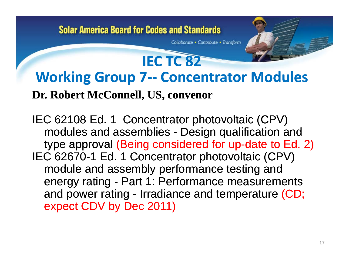Collaborate • Contribute • Transform

## **Working Group 7‐‐ Concentrator Modules**

**IEC TC 82**

### **Dr. Robert McConnell, US, convenor**

IEC 62108 Ed. 1 Concentrator photovoltaic (CPV) modules and assemblies - Design qualification and type approval (Being considered for up-date to Ed. 2) IEC 62670-1 Ed. 1 Concentrator photovoltaic (CPV) module and assembly performance testing and energy rating - Part 1: Performance measurements and power rating - Irradiance and temperature (CD; expect CDV by Dec 2011)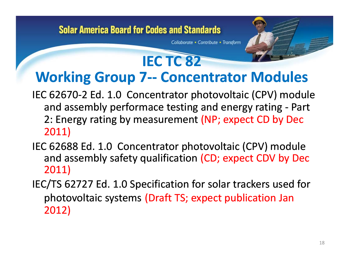Collaborate • Contribute • Transform

## **Working Group 7‐‐ Concentrator Modules**

**IEC TC 82**

- IEC 62670‐2 Ed. 1.0 Concentrator photovoltaic (CPV) module and assembly performace testing and energy rating ‐ Part 2: Energy rating by measurement (NP; expect CD by Dec 2011)
- IEC 62688 Ed. 1.0 Concentrator photovoltaic (CPV) module and assembly safety qualification (CD; expect CDV by Dec 2011)
- IEC/TS 62727 Ed. 1.0 Specification for solar trackers used for photovoltaic systems (Draft TS; expect publication Jan 2012) 1.018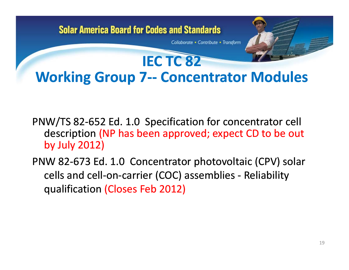## **Solar America Board for Codes and Standards** Collaborate • Contribute • Transform **IEC TC 82 Working Group 7‐‐ Concentrator Modules**

- PNW/TS 82‐652 Ed. 1.0 Specification for concentrator cell description (NP has been approved; expect CD to be out by July 2012)
- PNW 82‐673 Ed. 1.0 Concentrator photovoltaic (CPV) solar cells and cell‐on‐carrier (COC) assemblies ‐ Reliability qualification (Closes Feb 2012)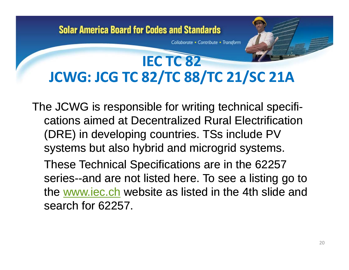Collaborate • Contribute • Transform

## **IEC TC 82 JCWG: JCG TC 82/TC 88/TC 21/SC 21A**

The JCWG is responsible for writing technical specifications aimed at Decentralized Rural Electrification (DRE) in developing countries. TSs include PV systems but also hybrid and microgrid systems.

These Technical Specifications are in the 62257 series--and are not listed here. To see a listing go to the www.iec.ch website as listed in the 4th slide and search for 62257.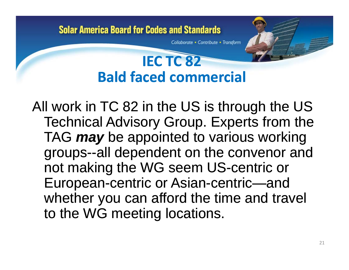Collaborate • Contribute • Transform

## **IEC TC 82 Bald faced commercial**

All work in TC 82 in the US is through the US Technical Advisory Group. Experts from the TAG *may* be appointed to various working groups--all dependent on the convenor and not making the WG seem US-centric or European-centric or Asian-centric—and whether you can afford the time and travel to the WG meeting locations.